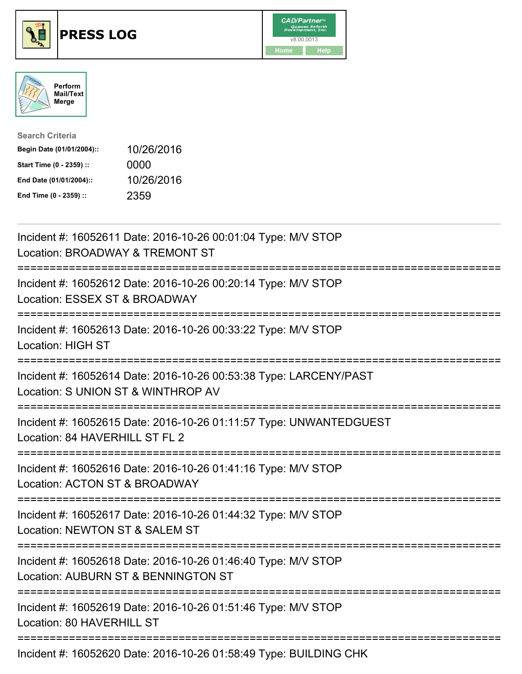





| <b>Search Criteria</b>    |            |
|---------------------------|------------|
| Begin Date (01/01/2004):: | 10/26/2016 |
| Start Time (0 - 2359) ::  | 0000       |
| End Date (01/01/2004)::   | 10/26/2016 |
| End Time (0 - 2359) ::    | 2359       |

| Incident #: 16052611 Date: 2016-10-26 00:01:04 Type: M/V STOP<br>Location: BROADWAY & TREMONT ST                                                                                                                                                                                                                                                                                     |
|--------------------------------------------------------------------------------------------------------------------------------------------------------------------------------------------------------------------------------------------------------------------------------------------------------------------------------------------------------------------------------------|
| Incident #: 16052612 Date: 2016-10-26 00:20:14 Type: M/V STOP<br>Location: ESSEX ST & BROADWAY                                                                                                                                                                                                                                                                                       |
| Incident #: 16052613 Date: 2016-10-26 00:33:22 Type: M/V STOP<br><b>Location: HIGH ST</b>                                                                                                                                                                                                                                                                                            |
| Incident #: 16052614 Date: 2016-10-26 00:53:38 Type: LARCENY/PAST<br>Location: S UNION ST & WINTHROP AV                                                                                                                                                                                                                                                                              |
| Incident #: 16052615 Date: 2016-10-26 01:11:57 Type: UNWANTEDGUEST<br>Location: 84 HAVERHILL ST FL 2                                                                                                                                                                                                                                                                                 |
| Incident #: 16052616 Date: 2016-10-26 01:41:16 Type: M/V STOP<br>Location: ACTON ST & BROADWAY<br>:==================================                                                                                                                                                                                                                                                |
| Incident #: 16052617 Date: 2016-10-26 01:44:32 Type: M/V STOP<br>Location: NEWTON ST & SALEM ST                                                                                                                                                                                                                                                                                      |
| Incident #: 16052618 Date: 2016-10-26 01:46:40 Type: M/V STOP<br>Location: AUBURN ST & BENNINGTON ST                                                                                                                                                                                                                                                                                 |
| Incident #: 16052619 Date: 2016-10-26 01:51:46 Type: M/V STOP<br>Location: 80 HAVERHILL ST                                                                                                                                                                                                                                                                                           |
| $\overline{1}$ $\overline{1}$ $\overline{1}$ $\overline{1}$ $\overline{1}$ $\overline{1}$ $\overline{1}$ $\overline{1}$ $\overline{1}$ $\overline{1}$ $\overline{1}$ $\overline{1}$ $\overline{1}$ $\overline{1}$ $\overline{1}$ $\overline{1}$ $\overline{1}$ $\overline{1}$ $\overline{1}$ $\overline{1}$ $\overline{1}$ $\overline{1}$ $\overline{1}$ $\overline{1}$ $\overline{$ |

Incident #: 16052620 Date: 2016-10-26 01:58:49 Type: BUILDING CHK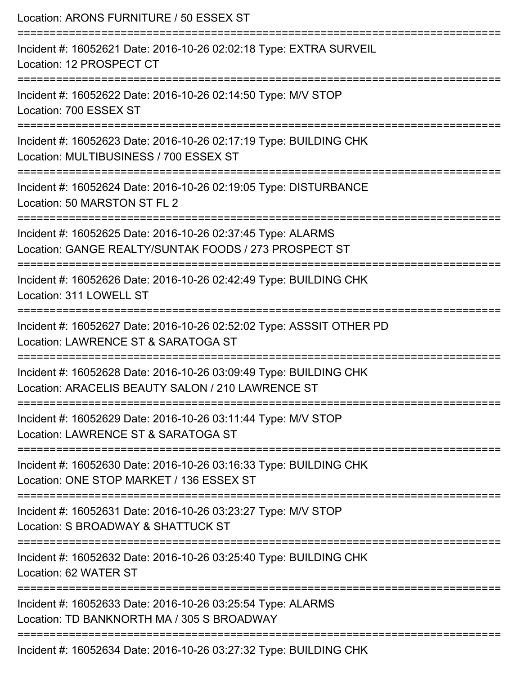| Location: ARONS FURNITURE / 50 ESSEX ST                                                                                 |
|-------------------------------------------------------------------------------------------------------------------------|
| Incident #: 16052621 Date: 2016-10-26 02:02:18 Type: EXTRA SURVEIL<br>Location: 12 PROSPECT CT                          |
| Incident #: 16052622 Date: 2016-10-26 02:14:50 Type: M/V STOP<br>Location: 700 ESSEX ST                                 |
| Incident #: 16052623 Date: 2016-10-26 02:17:19 Type: BUILDING CHK<br>Location: MULTIBUSINESS / 700 ESSEX ST             |
| -------------------<br>Incident #: 16052624 Date: 2016-10-26 02:19:05 Type: DISTURBANCE<br>Location: 50 MARSTON ST FL 2 |
| Incident #: 16052625 Date: 2016-10-26 02:37:45 Type: ALARMS<br>Location: GANGE REALTY/SUNTAK FOODS / 273 PROSPECT ST    |
| Incident #: 16052626 Date: 2016-10-26 02:42:49 Type: BUILDING CHK<br>Location: 311 LOWELL ST                            |
| Incident #: 16052627 Date: 2016-10-26 02:52:02 Type: ASSSIT OTHER PD<br>Location: LAWRENCE ST & SARATOGA ST             |
| Incident #: 16052628 Date: 2016-10-26 03:09:49 Type: BUILDING CHK<br>Location: ARACELIS BEAUTY SALON / 210 LAWRENCE ST  |
| Incident #: 16052629 Date: 2016-10-26 03:11:44 Type: M/V STOP<br>Location: LAWRENCE ST & SARATOGA ST                    |
| Incident #: 16052630 Date: 2016-10-26 03:16:33 Type: BUILDING CHK<br>Location: ONE STOP MARKET / 136 ESSEX ST           |
| Incident #: 16052631 Date: 2016-10-26 03:23:27 Type: M/V STOP<br>Location: S BROADWAY & SHATTUCK ST                     |
| Incident #: 16052632 Date: 2016-10-26 03:25:40 Type: BUILDING CHK<br>Location: 62 WATER ST                              |
| Incident #: 16052633 Date: 2016-10-26 03:25:54 Type: ALARMS<br>Location: TD BANKNORTH MA / 305 S BROADWAY               |
| Incident #: 16052634 Date: 2016-10-26 03:27:32 Type: BUILDING CHK                                                       |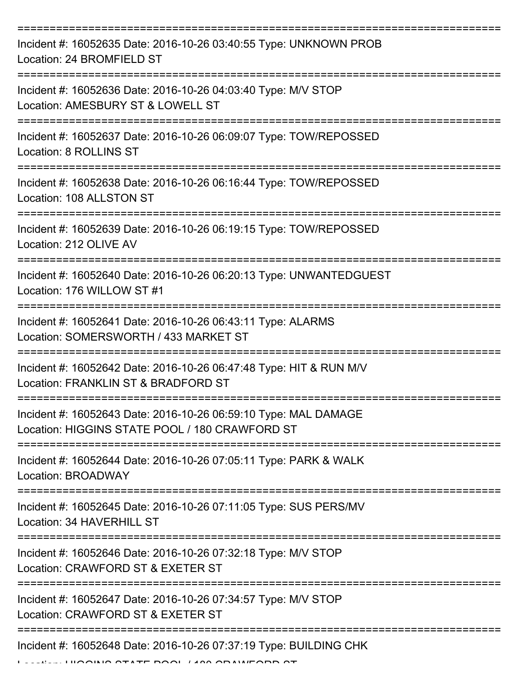| Incident #: 16052635 Date: 2016-10-26 03:40:55 Type: UNKNOWN PROB<br>Location: 24 BROMFIELD ST                    |
|-------------------------------------------------------------------------------------------------------------------|
| Incident #: 16052636 Date: 2016-10-26 04:03:40 Type: M/V STOP<br>Location: AMESBURY ST & LOWELL ST                |
| Incident #: 16052637 Date: 2016-10-26 06:09:07 Type: TOW/REPOSSED<br>Location: 8 ROLLINS ST                       |
| Incident #: 16052638 Date: 2016-10-26 06:16:44 Type: TOW/REPOSSED<br>Location: 108 ALLSTON ST                     |
| Incident #: 16052639 Date: 2016-10-26 06:19:15 Type: TOW/REPOSSED<br>Location: 212 OLIVE AV                       |
| Incident #: 16052640 Date: 2016-10-26 06:20:13 Type: UNWANTEDGUEST<br>Location: 176 WILLOW ST #1                  |
| Incident #: 16052641 Date: 2016-10-26 06:43:11 Type: ALARMS<br>Location: SOMERSWORTH / 433 MARKET ST              |
| Incident #: 16052642 Date: 2016-10-26 06:47:48 Type: HIT & RUN M/V<br>Location: FRANKLIN ST & BRADFORD ST         |
| Incident #: 16052643 Date: 2016-10-26 06:59:10 Type: MAL DAMAGE<br>Location: HIGGINS STATE POOL / 180 CRAWFORD ST |
| Incident #: 16052644 Date: 2016-10-26 07:05:11 Type: PARK & WALK<br>Location: BROADWAY                            |
| Incident #: 16052645 Date: 2016-10-26 07:11:05 Type: SUS PERS/MV<br>Location: 34 HAVERHILL ST                     |
| Incident #: 16052646 Date: 2016-10-26 07:32:18 Type: M/V STOP<br>Location: CRAWFORD ST & EXETER ST                |
| Incident #: 16052647 Date: 2016-10-26 07:34:57 Type: M/V STOP<br>Location: CRAWFORD ST & EXETER ST                |
| Incident #: 16052648 Date: 2016-10-26 07:37:19 Type: BUILDING CHK                                                 |

LUCAIN STATE BOOL / 100 CRAWFORD ST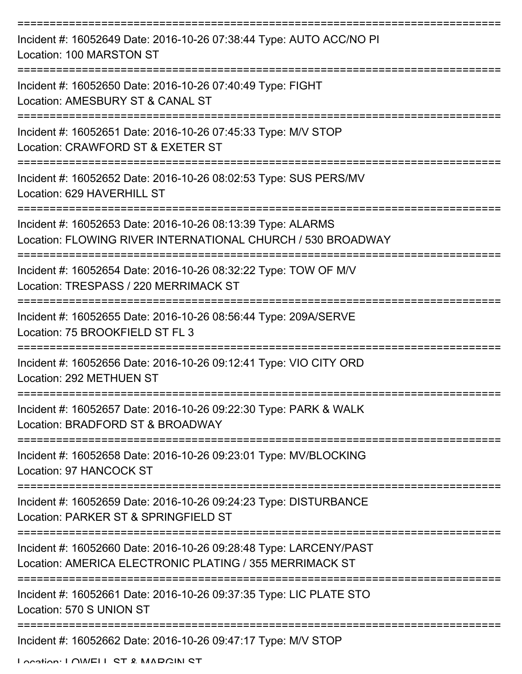| Incident #: 16052649 Date: 2016-10-26 07:38:44 Type: AUTO ACC/NO PI<br>Location: 100 MARSTON ST                              |
|------------------------------------------------------------------------------------------------------------------------------|
| Incident #: 16052650 Date: 2016-10-26 07:40:49 Type: FIGHT<br>Location: AMESBURY ST & CANAL ST                               |
| Incident #: 16052651 Date: 2016-10-26 07:45:33 Type: M/V STOP<br>Location: CRAWFORD ST & EXETER ST                           |
| Incident #: 16052652 Date: 2016-10-26 08:02:53 Type: SUS PERS/MV<br>Location: 629 HAVERHILL ST                               |
| Incident #: 16052653 Date: 2016-10-26 08:13:39 Type: ALARMS<br>Location: FLOWING RIVER INTERNATIONAL CHURCH / 530 BROADWAY   |
| Incident #: 16052654 Date: 2016-10-26 08:32:22 Type: TOW OF M/V<br>Location: TRESPASS / 220 MERRIMACK ST                     |
| Incident #: 16052655 Date: 2016-10-26 08:56:44 Type: 209A/SERVE<br>Location: 75 BROOKFIELD ST FL 3                           |
| =======<br>Incident #: 16052656 Date: 2016-10-26 09:12:41 Type: VIO CITY ORD<br>Location: 292 METHUEN ST                     |
| Incident #: 16052657 Date: 2016-10-26 09:22:30 Type: PARK & WALK<br>Location: BRADFORD ST & BROADWAY                         |
| Incident #: 16052658 Date: 2016-10-26 09:23:01 Type: MV/BLOCKING<br>Location: 97 HANCOCK ST                                  |
| Incident #: 16052659 Date: 2016-10-26 09:24:23 Type: DISTURBANCE<br>Location: PARKER ST & SPRINGFIELD ST                     |
| Incident #: 16052660 Date: 2016-10-26 09:28:48 Type: LARCENY/PAST<br>Location: AMERICA ELECTRONIC PLATING / 355 MERRIMACK ST |
| Incident #: 16052661 Date: 2016-10-26 09:37:35 Type: LIC PLATE STO<br>Location: 570 S UNION ST                               |
| Incident #: 16052662 Date: 2016-10-26 09:47:17 Type: M/V STOP                                                                |

Location: LOWELL ST & MADCIN ST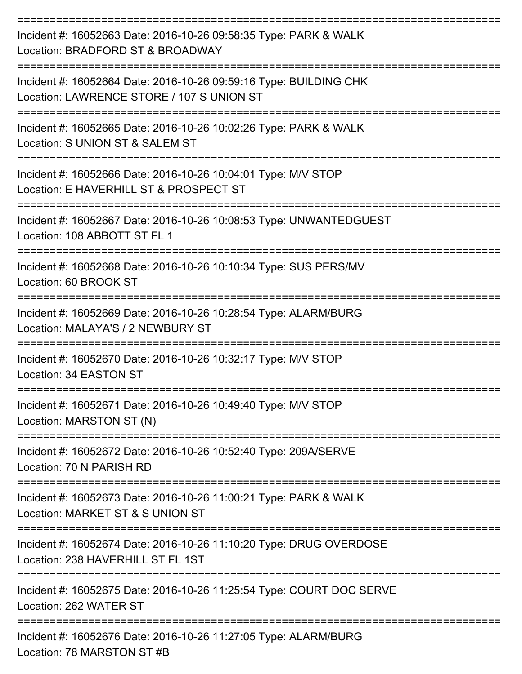| Incident #: 16052663 Date: 2016-10-26 09:58:35 Type: PARK & WALK<br>Location: BRADFORD ST & BROADWAY           |
|----------------------------------------------------------------------------------------------------------------|
| Incident #: 16052664 Date: 2016-10-26 09:59:16 Type: BUILDING CHK<br>Location: LAWRENCE STORE / 107 S UNION ST |
| Incident #: 16052665 Date: 2016-10-26 10:02:26 Type: PARK & WALK<br>Location: S UNION ST & SALEM ST            |
| Incident #: 16052666 Date: 2016-10-26 10:04:01 Type: M/V STOP<br>Location: E HAVERHILL ST & PROSPECT ST        |
| Incident #: 16052667 Date: 2016-10-26 10:08:53 Type: UNWANTEDGUEST<br>Location: 108 ABBOTT ST FL 1             |
| Incident #: 16052668 Date: 2016-10-26 10:10:34 Type: SUS PERS/MV<br>Location: 60 BROOK ST                      |
| Incident #: 16052669 Date: 2016-10-26 10:28:54 Type: ALARM/BURG<br>Location: MALAYA'S / 2 NEWBURY ST           |
| Incident #: 16052670 Date: 2016-10-26 10:32:17 Type: M/V STOP<br>Location: 34 EASTON ST                        |
| Incident #: 16052671 Date: 2016-10-26 10:49:40 Type: M/V STOP<br>Location: MARSTON ST (N)                      |
| ============<br>Incident #: 16052672 Date: 2016-10-26 10:52:40 Type: 209A/SERVE<br>Location: 70 N PARISH RD    |
| Incident #: 16052673 Date: 2016-10-26 11:00:21 Type: PARK & WALK<br>Location: MARKET ST & S UNION ST           |
| Incident #: 16052674 Date: 2016-10-26 11:10:20 Type: DRUG OVERDOSE<br>Location: 238 HAVERHILL ST FL 1ST        |
| Incident #: 16052675 Date: 2016-10-26 11:25:54 Type: COURT DOC SERVE<br>Location: 262 WATER ST                 |
| Incident #: 16052676 Date: 2016-10-26 11:27:05 Type: ALARM/BURG<br>Location: 78 MARSTON ST #B                  |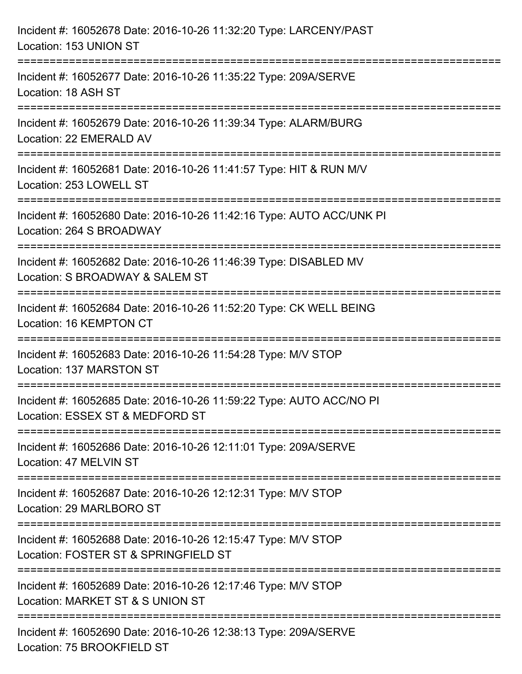| Incident #: 16052678 Date: 2016-10-26 11:32:20 Type: LARCENY/PAST<br>Location: 153 UNION ST                                    |
|--------------------------------------------------------------------------------------------------------------------------------|
| ;==================================<br>Incident #: 16052677 Date: 2016-10-26 11:35:22 Type: 209A/SERVE<br>Location: 18 ASH ST  |
| Incident #: 16052679 Date: 2016-10-26 11:39:34 Type: ALARM/BURG<br>Location: 22 EMERALD AV<br>================================ |
| Incident #: 16052681 Date: 2016-10-26 11:41:57 Type: HIT & RUN M/V<br>Location: 253 LOWELL ST                                  |
| Incident #: 16052680 Date: 2016-10-26 11:42:16 Type: AUTO ACC/UNK PI<br>Location: 264 S BROADWAY                               |
| Incident #: 16052682 Date: 2016-10-26 11:46:39 Type: DISABLED MV<br>Location: S BROADWAY & SALEM ST                            |
| :========================<br>Incident #: 16052684 Date: 2016-10-26 11:52:20 Type: CK WELL BEING<br>Location: 16 KEMPTON CT     |
| Incident #: 16052683 Date: 2016-10-26 11:54:28 Type: M/V STOP<br>Location: 137 MARSTON ST                                      |
| Incident #: 16052685 Date: 2016-10-26 11:59:22 Type: AUTO ACC/NO PI<br>Location: ESSEX ST & MEDFORD ST                         |
| Incident #: 16052686 Date: 2016-10-26 12:11:01 Type: 209A/SERVE<br>Location: 47 MELVIN ST                                      |
| Incident #: 16052687 Date: 2016-10-26 12:12:31 Type: M/V STOP<br>Location: 29 MARLBORO ST                                      |
| Incident #: 16052688 Date: 2016-10-26 12:15:47 Type: M/V STOP<br>Location: FOSTER ST & SPRINGFIELD ST                          |
| Incident #: 16052689 Date: 2016-10-26 12:17:46 Type: M/V STOP<br>Location: MARKET ST & S UNION ST                              |
| Incident #: 16052690 Date: 2016-10-26 12:38:13 Type: 209A/SERVE<br>Location: 75 BROOKFIELD ST                                  |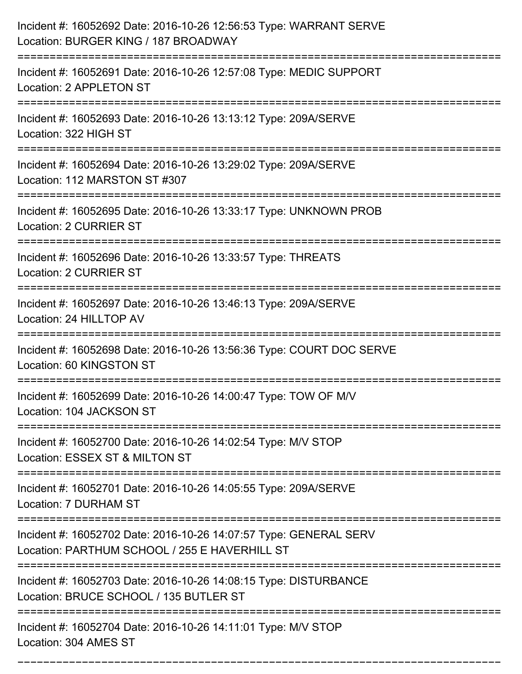| Incident #: 16052692 Date: 2016-10-26 12:56:53 Type: WARRANT SERVE<br>Location: BURGER KING / 187 BROADWAY         |
|--------------------------------------------------------------------------------------------------------------------|
| Incident #: 16052691 Date: 2016-10-26 12:57:08 Type: MEDIC SUPPORT<br>Location: 2 APPLETON ST                      |
| Incident #: 16052693 Date: 2016-10-26 13:13:12 Type: 209A/SERVE<br>Location: 322 HIGH ST                           |
| Incident #: 16052694 Date: 2016-10-26 13:29:02 Type: 209A/SERVE<br>Location: 112 MARSTON ST #307                   |
| Incident #: 16052695 Date: 2016-10-26 13:33:17 Type: UNKNOWN PROB<br>Location: 2 CURRIER ST                        |
| Incident #: 16052696 Date: 2016-10-26 13:33:57 Type: THREATS<br><b>Location: 2 CURRIER ST</b>                      |
| Incident #: 16052697 Date: 2016-10-26 13:46:13 Type: 209A/SERVE<br>Location: 24 HILLTOP AV                         |
| Incident #: 16052698 Date: 2016-10-26 13:56:36 Type: COURT DOC SERVE<br>Location: 60 KINGSTON ST                   |
| Incident #: 16052699 Date: 2016-10-26 14:00:47 Type: TOW OF M/V<br>Location: 104 JACKSON ST                        |
| Incident #: 16052700 Date: 2016-10-26 14:02:54 Type: M/V STOP<br>Location: ESSEX ST & MILTON ST                    |
| Incident #: 16052701 Date: 2016-10-26 14:05:55 Type: 209A/SERVE<br>Location: 7 DURHAM ST                           |
| Incident #: 16052702 Date: 2016-10-26 14:07:57 Type: GENERAL SERV<br>Location: PARTHUM SCHOOL / 255 E HAVERHILL ST |
| Incident #: 16052703 Date: 2016-10-26 14:08:15 Type: DISTURBANCE<br>Location: BRUCE SCHOOL / 135 BUTLER ST         |
| Incident #: 16052704 Date: 2016-10-26 14:11:01 Type: M/V STOP<br>Location: 304 AMES ST                             |

===========================================================================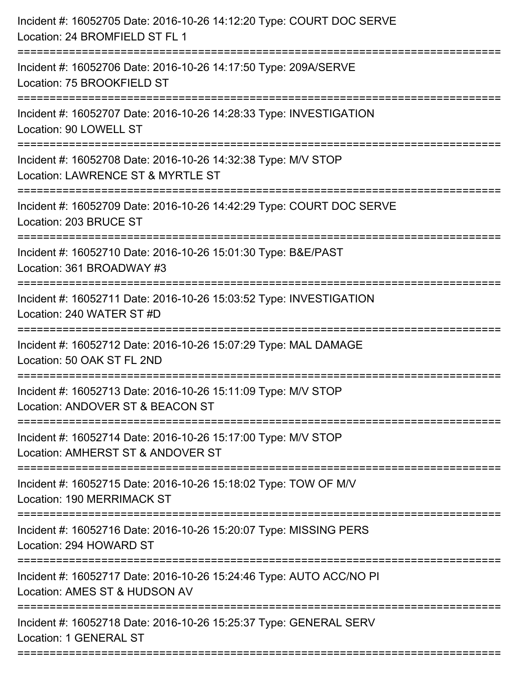| Incident #: 16052705 Date: 2016-10-26 14:12:20 Type: COURT DOC SERVE<br>Location: 24 BROMFIELD ST FL 1 |
|--------------------------------------------------------------------------------------------------------|
| Incident #: 16052706 Date: 2016-10-26 14:17:50 Type: 209A/SERVE<br>Location: 75 BROOKFIELD ST          |
| Incident #: 16052707 Date: 2016-10-26 14:28:33 Type: INVESTIGATION<br>Location: 90 LOWELL ST           |
| Incident #: 16052708 Date: 2016-10-26 14:32:38 Type: M/V STOP<br>Location: LAWRENCE ST & MYRTLE ST     |
| Incident #: 16052709 Date: 2016-10-26 14:42:29 Type: COURT DOC SERVE<br>Location: 203 BRUCE ST         |
| Incident #: 16052710 Date: 2016-10-26 15:01:30 Type: B&E/PAST<br>Location: 361 BROADWAY #3             |
| Incident #: 16052711 Date: 2016-10-26 15:03:52 Type: INVESTIGATION<br>Location: 240 WATER ST #D        |
| Incident #: 16052712 Date: 2016-10-26 15:07:29 Type: MAL DAMAGE<br>Location: 50 OAK ST FL 2ND          |
| Incident #: 16052713 Date: 2016-10-26 15:11:09 Type: M/V STOP<br>Location: ANDOVER ST & BEACON ST      |
| Incident #: 16052714 Date: 2016-10-26 15:17:00 Type: M/V STOP<br>Location: AMHERST ST & ANDOVER ST     |
| Incident #: 16052715 Date: 2016-10-26 15:18:02 Type: TOW OF M/V<br>Location: 190 MERRIMACK ST          |
| Incident #: 16052716 Date: 2016-10-26 15:20:07 Type: MISSING PERS<br>Location: 294 HOWARD ST           |
| Incident #: 16052717 Date: 2016-10-26 15:24:46 Type: AUTO ACC/NO PI<br>Location: AMES ST & HUDSON AV   |
| Incident #: 16052718 Date: 2016-10-26 15:25:37 Type: GENERAL SERV<br>Location: 1 GENERAL ST            |
|                                                                                                        |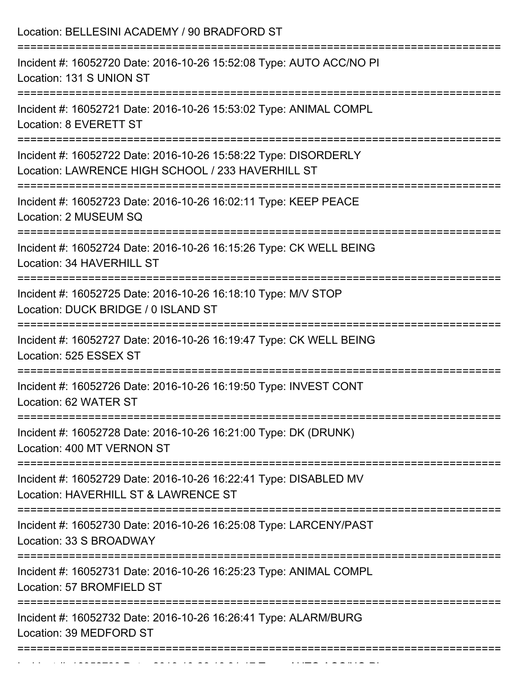| Incident #: 16052720 Date: 2016-10-26 15:52:08 Type: AUTO ACC/NO PI<br>Location: 131 S UNION ST<br>Incident #: 16052721 Date: 2016-10-26 15:53:02 Type: ANIMAL COMPL<br>Location: 8 EVERETT ST<br>Incident #: 16052722 Date: 2016-10-26 15:58:22 Type: DISORDERLY<br>Location: LAWRENCE HIGH SCHOOL / 233 HAVERHILL ST<br>Incident #: 16052723 Date: 2016-10-26 16:02:11 Type: KEEP PEACE<br>Location: 2 MUSEUM SQ<br>Incident #: 16052724 Date: 2016-10-26 16:15:26 Type: CK WELL BEING<br>Location: 34 HAVERHILL ST<br>Incident #: 16052725 Date: 2016-10-26 16:18:10 Type: M/V STOP<br>Location: DUCK BRIDGE / 0 ISLAND ST<br>:====================<br>Incident #: 16052727 Date: 2016-10-26 16:19:47 Type: CK WELL BEING<br>Location: 525 ESSEX ST<br>Incident #: 16052726 Date: 2016-10-26 16:19:50 Type: INVEST CONT<br>Location: 62 WATER ST |
|-----------------------------------------------------------------------------------------------------------------------------------------------------------------------------------------------------------------------------------------------------------------------------------------------------------------------------------------------------------------------------------------------------------------------------------------------------------------------------------------------------------------------------------------------------------------------------------------------------------------------------------------------------------------------------------------------------------------------------------------------------------------------------------------------------------------------------------------------------|
|                                                                                                                                                                                                                                                                                                                                                                                                                                                                                                                                                                                                                                                                                                                                                                                                                                                     |
|                                                                                                                                                                                                                                                                                                                                                                                                                                                                                                                                                                                                                                                                                                                                                                                                                                                     |
|                                                                                                                                                                                                                                                                                                                                                                                                                                                                                                                                                                                                                                                                                                                                                                                                                                                     |
|                                                                                                                                                                                                                                                                                                                                                                                                                                                                                                                                                                                                                                                                                                                                                                                                                                                     |
|                                                                                                                                                                                                                                                                                                                                                                                                                                                                                                                                                                                                                                                                                                                                                                                                                                                     |
|                                                                                                                                                                                                                                                                                                                                                                                                                                                                                                                                                                                                                                                                                                                                                                                                                                                     |
|                                                                                                                                                                                                                                                                                                                                                                                                                                                                                                                                                                                                                                                                                                                                                                                                                                                     |
|                                                                                                                                                                                                                                                                                                                                                                                                                                                                                                                                                                                                                                                                                                                                                                                                                                                     |
| Incident #: 16052728 Date: 2016-10-26 16:21:00 Type: DK (DRUNK)<br>Location: 400 MT VERNON ST                                                                                                                                                                                                                                                                                                                                                                                                                                                                                                                                                                                                                                                                                                                                                       |
| Incident #: 16052729 Date: 2016-10-26 16:22:41 Type: DISABLED MV<br>Location: HAVERHILL ST & LAWRENCE ST                                                                                                                                                                                                                                                                                                                                                                                                                                                                                                                                                                                                                                                                                                                                            |
| Incident #: 16052730 Date: 2016-10-26 16:25:08 Type: LARCENY/PAST<br>Location: 33 S BROADWAY                                                                                                                                                                                                                                                                                                                                                                                                                                                                                                                                                                                                                                                                                                                                                        |
| Incident #: 16052731 Date: 2016-10-26 16:25:23 Type: ANIMAL COMPL<br>Location: 57 BROMFIELD ST                                                                                                                                                                                                                                                                                                                                                                                                                                                                                                                                                                                                                                                                                                                                                      |
| Incident #: 16052732 Date: 2016-10-26 16:26:41 Type: ALARM/BURG<br>Location: 39 MEDFORD ST                                                                                                                                                                                                                                                                                                                                                                                                                                                                                                                                                                                                                                                                                                                                                          |

Incident #: 16052733 Date: 2016 10 26 16:31:17 Date: 2016 10 26 16:31:16 Date: 20<br>.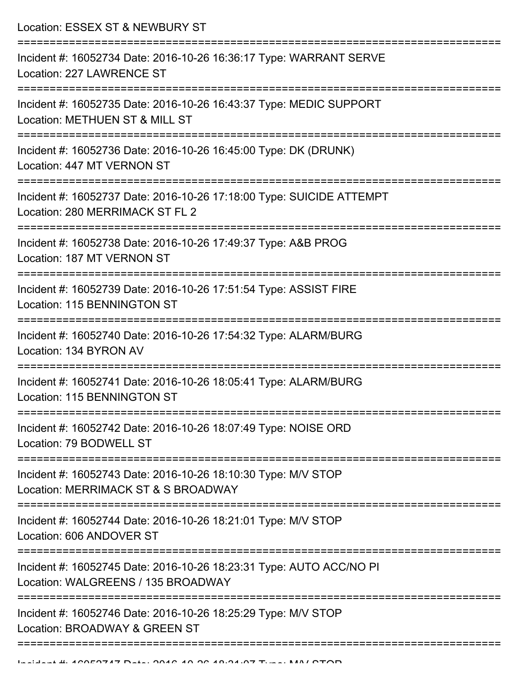Location: ESSEX ST & NEWBURY ST =========================================================================== Incident #: 16052734 Date: 2016-10-26 16:36:17 Type: WARRANT SERVE Location: 227 LAWRENCE ST =========================================================================== Incident #: 16052735 Date: 2016-10-26 16:43:37 Type: MEDIC SUPPORT Location: METHUEN ST & MILL ST =========================================================================== Incident #: 16052736 Date: 2016-10-26 16:45:00 Type: DK (DRUNK) Location: 447 MT VERNON ST =========================================================================== Incident #: 16052737 Date: 2016-10-26 17:18:00 Type: SUICIDE ATTEMPT Location: 280 MERRIMACK ST FL 2 =========================================================================== Incident #: 16052738 Date: 2016-10-26 17:49:37 Type: A&B PROG Location: 187 MT VERNON ST =========================================================================== Incident #: 16052739 Date: 2016-10-26 17:51:54 Type: ASSIST FIRE Location: 115 BENNINGTON ST =========================================================================== Incident #: 16052740 Date: 2016-10-26 17:54:32 Type: ALARM/BURG Location: 134 BYRON AV =========================================================================== Incident #: 16052741 Date: 2016-10-26 18:05:41 Type: ALARM/BURG Location: 115 BENNINGTON ST =========================================================================== Incident #: 16052742 Date: 2016-10-26 18:07:49 Type: NOISE ORD Location: 79 BODWELL ST =========================================================================== Incident #: 16052743 Date: 2016-10-26 18:10:30 Type: M/V STOP Location: MERRIMACK ST & S BROADWAY =========================================================================== Incident #: 16052744 Date: 2016-10-26 18:21:01 Type: M/V STOP Location: 606 ANDOVER ST =========================================================================== Incident #: 16052745 Date: 2016-10-26 18:23:31 Type: AUTO ACC/NO PI Location: WALGREENS / 135 BROADWAY =========================================================================== Incident #: 16052746 Date: 2016-10-26 18:25:29 Type: M/V STOP Location: BROADWAY & GREEN ST ======================================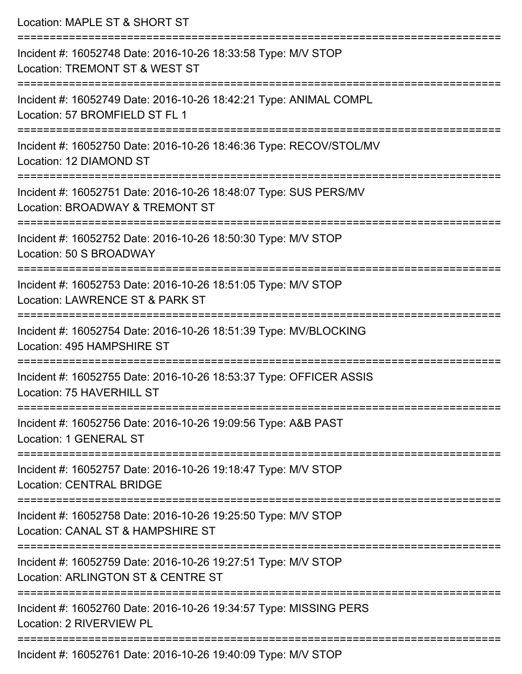| Location: MAPLE ST & SHORT ST                                                                                                                                                |
|------------------------------------------------------------------------------------------------------------------------------------------------------------------------------|
| Incident #: 16052748 Date: 2016-10-26 18:33:58 Type: M/V STOP<br>Location: TREMONT ST & WEST ST<br>:===================================<br>================================= |
| Incident #: 16052749 Date: 2016-10-26 18:42:21 Type: ANIMAL COMPL<br>Location: 57 BROMFIELD ST FL 1                                                                          |
| Incident #: 16052750 Date: 2016-10-26 18:46:36 Type: RECOV/STOL/MV<br>Location: 12 DIAMOND ST<br>==============================                                              |
| Incident #: 16052751 Date: 2016-10-26 18:48:07 Type: SUS PERS/MV<br>Location: BROADWAY & TREMONT ST                                                                          |
| Incident #: 16052752 Date: 2016-10-26 18:50:30 Type: M/V STOP<br>Location: 50 S BROADWAY                                                                                     |
| ==============================<br>Incident #: 16052753 Date: 2016-10-26 18:51:05 Type: M/V STOP<br>Location: LAWRENCE ST & PARK ST                                           |
| Incident #: 16052754 Date: 2016-10-26 18:51:39 Type: MV/BLOCKING<br>Location: 495 HAMPSHIRE ST                                                                               |
| Incident #: 16052755 Date: 2016-10-26 18:53:37 Type: OFFICER ASSIS<br>Location: 75 HAVERHILL ST                                                                              |
| Incident #: 16052756 Date: 2016-10-26 19:09:56 Type: A&B PAST<br>Location: 1 GENERAL ST                                                                                      |
| Incident #: 16052757 Date: 2016-10-26 19:18:47 Type: M/V STOP<br><b>Location: CENTRAL BRIDGE</b>                                                                             |
| Incident #: 16052758 Date: 2016-10-26 19:25:50 Type: M/V STOP<br>Location: CANAL ST & HAMPSHIRE ST                                                                           |
| Incident #: 16052759 Date: 2016-10-26 19:27:51 Type: M/V STOP<br>Location: ARLINGTON ST & CENTRE ST                                                                          |
| Incident #: 16052760 Date: 2016-10-26 19:34:57 Type: MISSING PERS<br>Location: 2 RIVERVIEW PL                                                                                |
| Incident #: 16052761 Date: 2016-10-26 19:40:09 Type: M/V STOP                                                                                                                |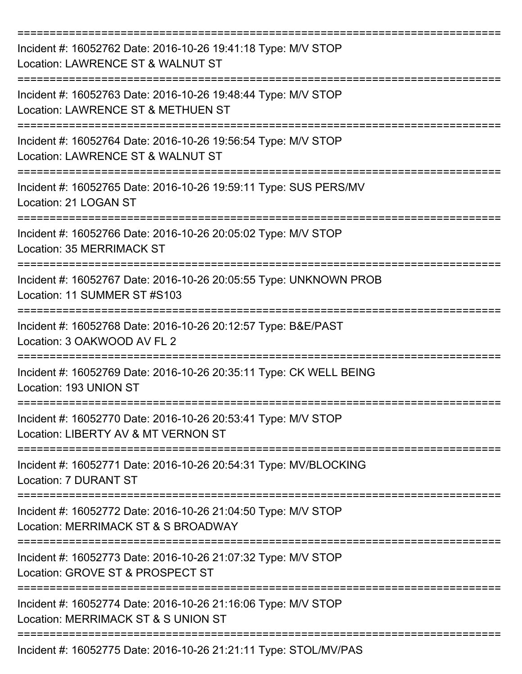| Incident #: 16052762 Date: 2016-10-26 19:41:18 Type: M/V STOP<br>Location: LAWRENCE ST & WALNUT ST   |
|------------------------------------------------------------------------------------------------------|
| Incident #: 16052763 Date: 2016-10-26 19:48:44 Type: M/V STOP<br>Location: LAWRENCE ST & METHUEN ST  |
| Incident #: 16052764 Date: 2016-10-26 19:56:54 Type: M/V STOP<br>Location: LAWRENCE ST & WALNUT ST   |
| Incident #: 16052765 Date: 2016-10-26 19:59:11 Type: SUS PERS/MV<br>Location: 21 LOGAN ST            |
| Incident #: 16052766 Date: 2016-10-26 20:05:02 Type: M/V STOP<br><b>Location: 35 MERRIMACK ST</b>    |
| Incident #: 16052767 Date: 2016-10-26 20:05:55 Type: UNKNOWN PROB<br>Location: 11 SUMMER ST #S103    |
| Incident #: 16052768 Date: 2016-10-26 20:12:57 Type: B&E/PAST<br>Location: 3 OAKWOOD AV FL 2         |
| Incident #: 16052769 Date: 2016-10-26 20:35:11 Type: CK WELL BEING<br>Location: 193 UNION ST         |
| Incident #: 16052770 Date: 2016-10-26 20:53:41 Type: M/V STOP<br>Location: LIBERTY AV & MT VERNON ST |
| Incident #: 16052771 Date: 2016-10-26 20:54:31 Type: MV/BLOCKING<br><b>Location: 7 DURANT ST</b>     |
| Incident #: 16052772 Date: 2016-10-26 21:04:50 Type: M/V STOP<br>Location: MERRIMACK ST & S BROADWAY |
| Incident #: 16052773 Date: 2016-10-26 21:07:32 Type: M/V STOP<br>Location: GROVE ST & PROSPECT ST    |
| Incident #: 16052774 Date: 2016-10-26 21:16:06 Type: M/V STOP<br>Location: MERRIMACK ST & S UNION ST |
| Incident #: 16052775 Date: 2016-10-26 21:21:11 Type: STOL/MV/PAS                                     |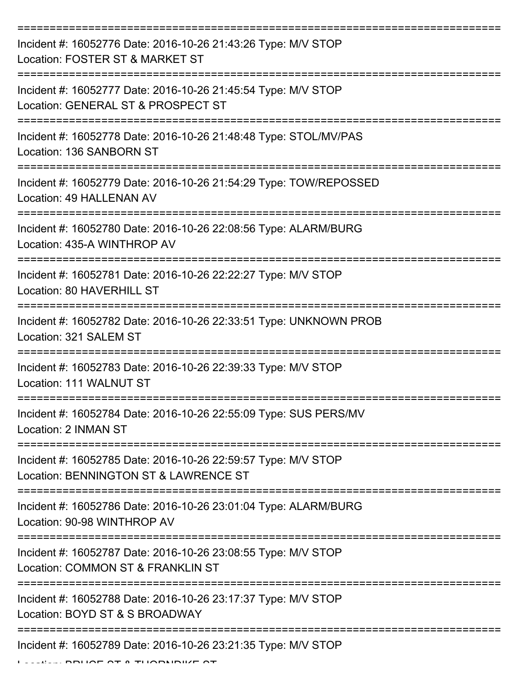| Incident #: 16052776 Date: 2016-10-26 21:43:26 Type: M/V STOP<br>Location: FOSTER ST & MARKET ST                                      |
|---------------------------------------------------------------------------------------------------------------------------------------|
| Incident #: 16052777 Date: 2016-10-26 21:45:54 Type: M/V STOP<br>Location: GENERAL ST & PROSPECT ST                                   |
| Incident #: 16052778 Date: 2016-10-26 21:48:48 Type: STOL/MV/PAS<br>Location: 136 SANBORN ST                                          |
| Incident #: 16052779 Date: 2016-10-26 21:54:29 Type: TOW/REPOSSED<br>Location: 49 HALLENAN AV                                         |
| Incident #: 16052780 Date: 2016-10-26 22:08:56 Type: ALARM/BURG<br>Location: 435-A WINTHROP AV<br>:================================== |
| Incident #: 16052781 Date: 2016-10-26 22:22:27 Type: M/V STOP<br>Location: 80 HAVERHILL ST                                            |
| Incident #: 16052782 Date: 2016-10-26 22:33:51 Type: UNKNOWN PROB<br>Location: 321 SALEM ST                                           |
| Incident #: 16052783 Date: 2016-10-26 22:39:33 Type: M/V STOP<br>Location: 111 WALNUT ST                                              |
| Incident #: 16052784 Date: 2016-10-26 22:55:09 Type: SUS PERS/MV<br>Location: 2 INMAN ST                                              |
| Incident #: 16052785 Date: 2016-10-26 22:59:57 Type: M/V STOP<br>Location: BENNINGTON ST & LAWRENCE ST                                |
| Incident #: 16052786 Date: 2016-10-26 23:01:04 Type: ALARM/BURG<br>Location: 90-98 WINTHROP AV                                        |
| Incident #: 16052787 Date: 2016-10-26 23:08:55 Type: M/V STOP<br>Location: COMMON ST & FRANKLIN ST                                    |
| Incident #: 16052788 Date: 2016-10-26 23:17:37 Type: M/V STOP<br>Location: BOYD ST & S BROADWAY                                       |
| Incident #: 16052789 Date: 2016-10-26 23:21:35 Type: M/V STOP                                                                         |